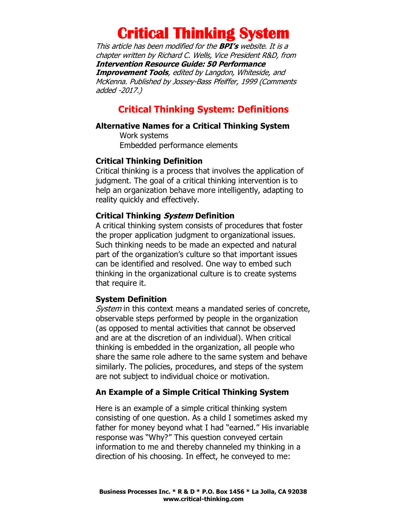This article has been modified for the **BPI's** website. It is a chapter written by Richard C. Wells, Vice President R&D, from **Intervention Resource Guide: 50 Performance Improvement Tools**, edited by Langdon, Whiteside, and McKenna. Published b[y Jossey-Bass Pfeiffer,](http://www.pfeiffer.com/) 1999 (Comments added -2017.)

## **Critical Thinking System: Definitions**

#### **Alternative Names for a Critical Thinking System**

Work systems Embedded performance elements

#### **Critical Thinking Definition**

Critical thinking is a process that involves the application of judgment. The goal of a critical thinking intervention is to help an organization behave more intelligently, adapting to reality quickly and effectively.

#### **Critical Thinking System Definition**

A critical thinking system consists of procedures that foster the proper application judgment to organizational issues. Such thinking needs to be made an expected and natural part of the organization's culture so that important issues can be identified and resolved. One way to embed such thinking in the organizational culture is to create systems that require it.

#### **System Definition**

System in this context means a mandated series of concrete, observable steps performed by people in the organization (as opposed to mental activities that cannot be observed and are at the discretion of an individual). When critical thinking is embedded in the organization, all people who share the same role adhere to the same system and behave similarly. The policies, procedures, and steps of the system are not subject to individual choice or motivation.

### **An Example of a Simple Critical Thinking System**

Here is an example of a simple critical thinking system consisting of one question. As a child I sometimes asked my father for money beyond what I had "earned." His invariable response was "Why?" This question conveyed certain information to me and thereby channeled my thinking in a direction of his choosing. In effect, he conveyed to me: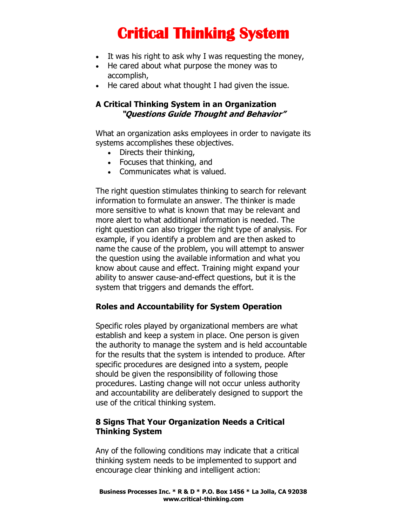- It was his right to ask why I was requesting the money,
- He cared about what purpose the money was to accomplish,
- He cared about what thought I had given the issue.

## **A Critical Thinking System in an Organization "Questions Guide Thought and Behavior"**

What an organization asks employees in order to navigate its systems accomplishes these objectives.

- Directs their thinking,
- Focuses that thinking, and
- Communicates what is valued.

The right question stimulates thinking to search for relevant information to formulate an answer. The thinker is made more sensitive to what is known that may be relevant and more alert to what additional information is needed. The right question can also trigger the right type of analysis. For example, if you identify a problem and are then asked to name the cause of the problem, you will attempt to answer the question using the available information and what you know about cause and effect. Training might expand your ability to answer cause-and-effect questions, but it is the system that triggers and demands the effort.

### **Roles and Accountability for System Operation**

Specific roles played by organizational members are what establish and keep a system in place. One person is given the authority to manage the system and is held accountable for the results that the system is intended to produce. After specific procedures are designed into a system, people should be given the responsibility of following those procedures. Lasting change will not occur unless authority and accountability are deliberately designed to support the use of the critical thinking system.

### **8 Signs That Your Organization Needs a Critical Thinking System**

Any of the following conditions may indicate that a critical thinking system needs to be implemented to support and encourage clear thinking and intelligent action: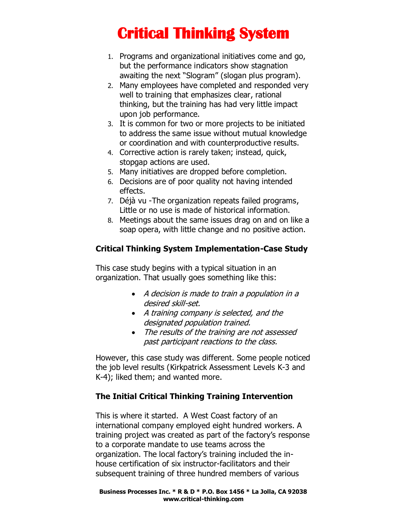- 1. Programs and organizational initiatives come and go, but the performance indicators show stagnation awaiting the next "Slogram" (slogan plus program).
- 2. Many employees have completed and responded very well to training that emphasizes clear, rational thinking, but the training has had very little impact upon job performance.
- 3. It is common for two or more projects to be initiated to address the same issue without mutual knowledge or coordination and with counterproductive results.
- 4. Corrective action is rarely taken; instead, quick, stopgap actions are used.
- 5. Many initiatives are dropped before completion.
- 6. Decisions are of poor quality not having intended effects.
- 7. Déjà vu -The organization repeats failed programs, Little or no use is made of historical information.
- 8. Meetings about the same issues drag on and on like a soap opera, with little change and no positive action.

## **Critical Thinking System Implementation-Case Study**

This case study begins with a typical situation in an organization. That usually goes something like this:

- A decision is made to train a population in a desired skill-set.
- A training company is selected, and the designated population trained.
- The results of the training are not assessed past participant reactions to the class.

However, this case study was different. Some people noticed the job level results (Kirkpatrick Assessment Levels K-3 and K-4); liked them; and wanted more.

## **The Initial Critical Thinking Training Intervention**

This is where it started. A West Coast factory of an international company employed eight hundred workers. A training project was created as part of the factory's response to a corporate mandate to use teams across the organization. The local factory's training included the inhouse certification of six instructor-facilitators and their subsequent training of three hundred members of various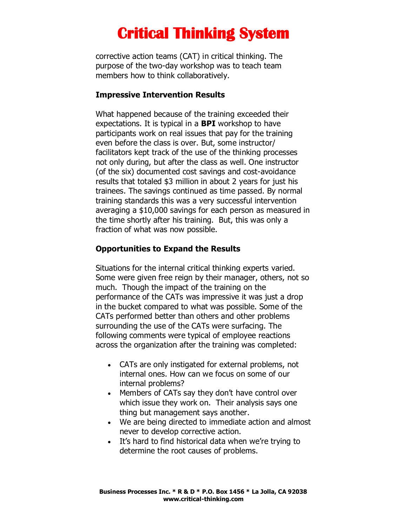corrective action teams (CAT) in critical thinking. The purpose of the two-day workshop was to teach team members how to think collaboratively.

#### **Impressive Intervention Results**

What happened because of the training exceeded their expectations. It is typical in a **BPI** workshop to have participants work on real issues that pay for the training even before the class is over. But, some instructor/ facilitators kept track of the use of the thinking processes not only during, but after the class as well. One instructor (of the six) documented cost savings and cost-avoidance results that totaled \$3 million in about 2 years for just his trainees. The savings continued as time passed. By normal training standards this was a very successful intervention averaging a \$10,000 savings for each person as measured in the time shortly after his training. But, this was only a fraction of what was now possible.

### **Opportunities to Expand the Results**

Situations for the internal critical thinking experts varied. Some were given free reign by their manager, others, not so much. Though the impact of the training on the performance of the CATs was impressive it was just a drop in the bucket compared to what was possible. Some of the CATs performed better than others and other problems surrounding the use of the CATs were surfacing. The following comments were typical of employee reactions across the organization after the training was completed:

- CATs are only instigated for external problems, not internal ones. How can we focus on some of our internal problems?
- Members of CATs say they don't have control over which issue they work on. Their analysis says one thing but management says another.
- We are being directed to immediate action and almost never to develop corrective action.
- It's hard to find historical data when we're trying to determine the root causes of problems.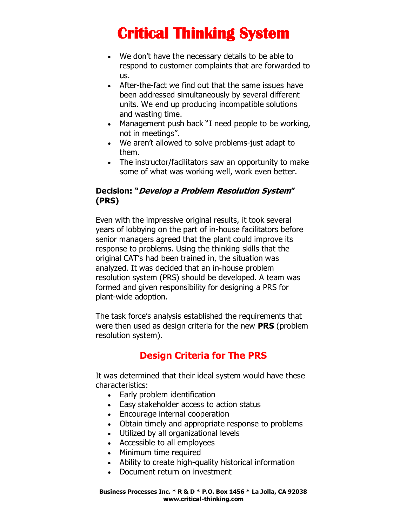- We don't have the necessary details to be able to respond to customer complaints that are forwarded to us.
- After-the-fact we find out that the same issues have been addressed simultaneously by several different units. We end up producing incompatible solutions and wasting time.
- Management push back "I need people to be working, not in meetings".
- We aren't allowed to solve problems-just adapt to them.
- The instructor/facilitators saw an opportunity to make some of what was working well, work even better.

## **Decision: "Develop a Problem Resolution System" (PRS)**

Even with the impressive original results, it took several years of lobbying on the part of in-house facilitators before senior managers agreed that the plant could improve its response to problems. Using the thinking skills that the original CAT's had been trained in, the situation was analyzed. It was decided that an in-house problem resolution system (PRS) should be developed. A team was formed and given responsibility for designing a PRS for plant-wide adoption.

The task force's analysis established the requirements that were then used as design criteria for the new **PRS** (problem resolution system).

## **Design Criteria for The PRS**

It was determined that their ideal system would have these characteristics:

- Early problem identification
- Easy stakeholder access to action status
- Encourage internal cooperation
- Obtain timely and appropriate response to problems
- Utilized by all organizational levels
- Accessible to all employees
- Minimum time required
- Ability to create high-quality historical information
- Document return on investment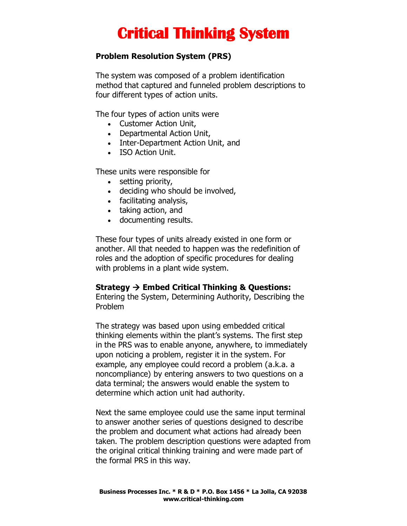### **Problem Resolution System (PRS)**

The system was composed of a problem identification method that captured and funneled problem descriptions to four different types of action units.

The four types of action units were

- Customer Action Unit,
- Departmental Action Unit,
- Inter-Department Action Unit, and
- ISO Action Unit.

These units were responsible for

- setting priority,
- deciding who should be involved,
- facilitating analysis,
- taking action, and
- documenting results.

These four types of units already existed in one form or another. All that needed to happen was the redefinition of roles and the adoption of specific procedures for dealing with problems in a plant wide system.

#### **Strategy** → **Embed Critical Thinking & Questions:**

Entering the System, Determining Authority, Describing the Problem

The strategy was based upon using embedded critical thinking elements within the plant's systems. The first step in the PRS was to enable anyone, anywhere, to immediately upon noticing a problem, register it in the system. For example, any employee could record a problem (a.k.a. a noncompliance) by entering answers to two questions on a data terminal; the answers would enable the system to determine which action unit had authority.

Next the same employee could use the same input terminal to answer another series of questions designed to describe the problem and document what actions had already been taken. The problem description questions were adapted from the original critical thinking training and were made part of the formal PRS in this way.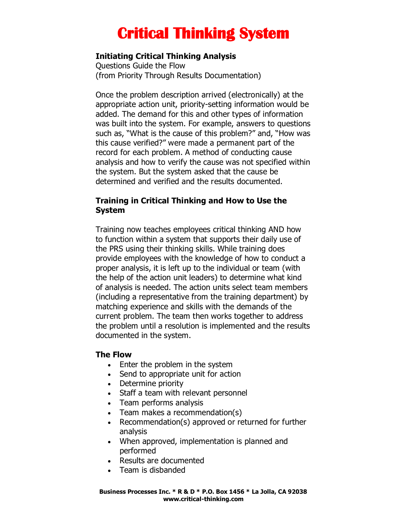### **Initiating Critical Thinking Analysis**

Questions Guide the Flow (from Priority Through Results Documentation)

Once the problem description arrived (electronically) at the appropriate action unit, priority-setting information would be added. The demand for this and other types of information was built into the system. For example, answers to questions such as, "What is the cause of this problem?" and, "How was this cause verified?" were made a permanent part of the record for each problem. A method of conducting cause analysis and how to verify the cause was not specified within the system. But the system asked that the cause be determined and verified and the results documented.

### **Training in Critical Thinking and How to Use the System**

Training now teaches employees critical thinking AND how to function within a system that supports their daily use of the PRS using their thinking skills. While training does provide employees with the knowledge of how to conduct a proper analysis, it is left up to the individual or team (with the help of the action unit leaders) to determine what kind of analysis is needed. The action units select team members (including a representative from the training department) by matching experience and skills with the demands of the current problem. The team then works together to address the problem until a resolution is implemented and the results documented in the system.

### **The Flow**

- Enter the problem in the system
- Send to appropriate unit for action
- Determine priority
- Staff a team with relevant personnel
- Team performs analysis
- Team makes a recommendation(s)
- Recommendation(s) approved or returned for further analysis
- When approved, implementation is planned and performed
- Results are documented
- Team is disbanded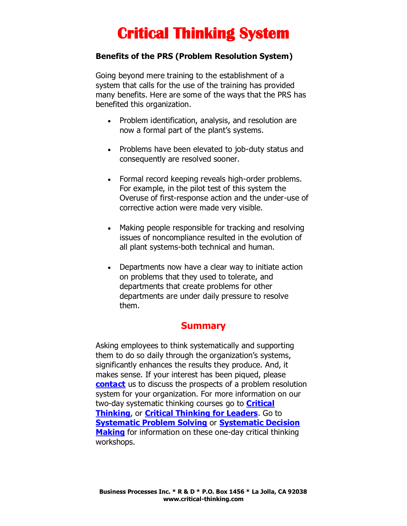### **Benefits of the PRS (Problem Resolution System)**

Going beyond mere training to the establishment of a system that calls for the use of the training has provided many benefits. Here are some of the ways that the PRS has benefited this organization.

- Problem identification, analysis, and resolution are now a formal part of the plant's systems.
- Problems have been elevated to job-duty status and consequently are resolved sooner.
- Formal record keeping reveals high-order problems. For example, in the pilot test of this system the Overuse of first-response action and the under-use of corrective action were made very visible.
- Making people responsible for tracking and resolving issues of noncompliance resulted in the evolution of all plant systems-both technical and human.
- Departments now have a clear way to initiate action on problems that they used to tolerate, and departments that create problems for other departments are under daily pressure to resolve them.

## **Summary**

Asking employees to think systematically and supporting them to do so daily through the organization's systems, significantly enhances the results they produce. And, it makes sense. If your interest has been piqued, please **[contact](http://www.critical-thinking.com/contact)** us to discuss the prospects of a problem resolution system for your organization. For more information on our two-day systematic thinking courses go to **[Critical](http://www.critical-thinking.com/workshops/critical-thinking)  [Thinking](http://www.critical-thinking.com/workshops/critical-thinking)**, or **[Critical Thinking for Leaders](http://www.critical-thinking.com/workshops/critical-thinking-for-leaders)**. Go to **[Systematic Problem Solving](http://www.critical-thinking.com/workshops/systematic-problem-solving)** or **[Systematic Decision](http://www.critical-thinking.com/workshops/systematic-decision-making)  [Making](http://www.critical-thinking.com/workshops/systematic-decision-making)** for information on these one-day critical thinking workshops.